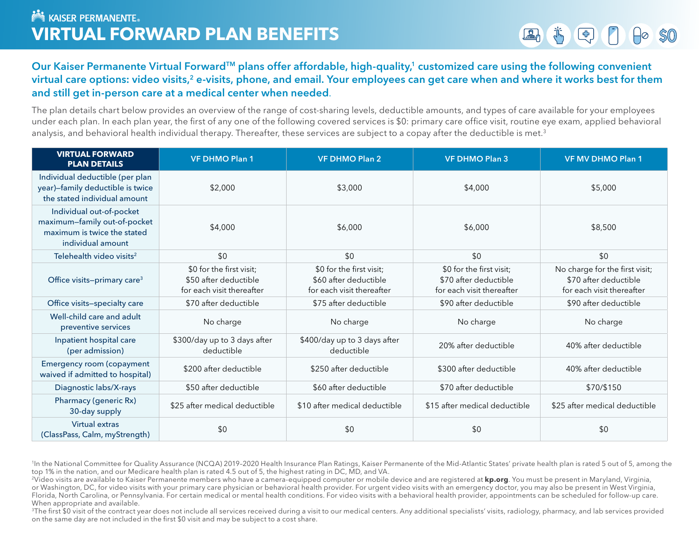# Our Kaiser Permanente Virtual Forward™ plans offer affordable, high-quality,<sup>1</sup> customized care using the following convenient virtual care options: video visits,<sup>2</sup> e-visits, phone, and email. Your employees can get care when and where it works best for them and still get in-person care at a medical center when needed.

The plan details chart below provides an overview of the range of cost-sharing levels, deductible amounts, and types of care available for your employees under each plan. In each plan year, the first of any one of the following covered services is \$0: primary care office visit, routine eye exam, applied behavioral analysis, and behavioral health individual therapy. Thereafter, these services are subject to a copay after the deductible is met.<sup>3</sup>

| <b>VIRTUAL FORWARD</b><br><b>PLAN DETAILS</b>                                                                | <b>VF DHMO Plan 1</b>                                                          | <b>VF DHMO Plan 2</b>                                                          | <b>VF DHMO Plan 3</b>                                                          | <b>VF MV DHMO Plan 1</b>                                                             |
|--------------------------------------------------------------------------------------------------------------|--------------------------------------------------------------------------------|--------------------------------------------------------------------------------|--------------------------------------------------------------------------------|--------------------------------------------------------------------------------------|
| Individual deductible (per plan<br>year)-family deductible is twice<br>the stated individual amount          | \$2,000                                                                        | \$3,000                                                                        | \$4,000                                                                        | \$5,000                                                                              |
| Individual out-of-pocket<br>maximum-family out-of-pocket<br>maximum is twice the stated<br>individual amount | \$4,000                                                                        | \$6,000                                                                        | \$6,000                                                                        | \$8,500                                                                              |
| Telehealth video visits <sup>2</sup>                                                                         | \$0                                                                            | \$0                                                                            | \$0                                                                            | \$0                                                                                  |
| Office visits-primary care <sup>3</sup>                                                                      | \$0 for the first visit;<br>\$50 after deductible<br>for each visit thereafter | \$0 for the first visit;<br>\$60 after deductible<br>for each visit thereafter | \$0 for the first visit;<br>\$70 after deductible<br>for each visit thereafter | No charge for the first visit;<br>\$70 after deductible<br>for each visit thereafter |
| Office visits-specialty care                                                                                 | \$70 after deductible                                                          | \$75 after deductible                                                          | \$90 after deductible                                                          | \$90 after deductible                                                                |
| Well-child care and adult<br>preventive services                                                             | No charge                                                                      | No charge                                                                      | No charge                                                                      | No charge                                                                            |
| Inpatient hospital care<br>(per admission)                                                                   | \$300/day up to 3 days after<br>deductible                                     | \$400/day up to 3 days after<br>deductible                                     | 20% after deductible                                                           | 40% after deductible                                                                 |
| <b>Emergency room (copayment</b><br>waived if admitted to hospital)                                          | \$200 after deductible                                                         | \$250 after deductible                                                         | \$300 after deductible                                                         | 40% after deductible                                                                 |
| Diagnostic labs/X-rays                                                                                       | \$50 after deductible                                                          | \$60 after deductible                                                          | \$70 after deductible                                                          | \$70/\$150                                                                           |
| Pharmacy (generic Rx)<br>30-day supply                                                                       | \$25 after medical deductible                                                  | \$10 after medical deductible                                                  | \$15 after medical deductible                                                  | \$25 after medical deductible                                                        |
| Virtual extras<br>(ClassPass, Calm, myStrength)                                                              | \$0                                                                            | \$0                                                                            | \$0                                                                            | \$0                                                                                  |

<sup>&</sup>lt;sup>1</sup>In the National Committee for Quality Assurance (NCQA) 2019-2020 Health Insurance Plan Ratings, Kaiser Permanente of the Mid-Atlantic States' private health plan is rated 5 out of 5, among the top 1% in the nation, and our Medicare health plan is rated 4.5 out of 5, the highest rating in DC, MD, and VA.

<sup>3</sup>The first \$0 visit of the contract year does not include all services received during a visit to our medical centers. Any additional specialists' visits, radiology, pharmacy, and lab services provided on the same day are not included in the first \$0 visit and may be subject to a cost share.

<sup>&</sup>lt;sup>2</sup>Video visits are available to Kaiser Permanente members who have a camera-equipped computer or mobile device and are registered at **kp.org**. You must be present in Maryland, Virginia, or Washington, DC, for video visits with your primary care physician or behavioral health provider. For urgent video visits with an emergency doctor, you may also be present in West Virginia, Florida, North Carolina, or Pennsylvania. For certain medical or mental health conditions. For video visits with a behavioral health provider, appointments can be scheduled for follow-up care. When appropriate and available.